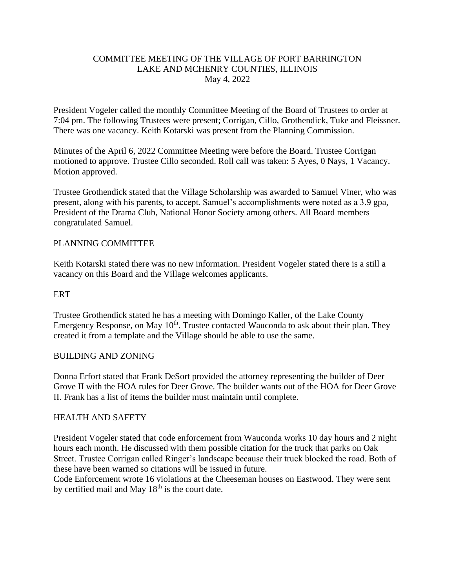# COMMITTEE MEETING OF THE VILLAGE OF PORT BARRINGTON LAKE AND MCHENRY COUNTIES, ILLINOIS May 4, 2022

President Vogeler called the monthly Committee Meeting of the Board of Trustees to order at 7:04 pm. The following Trustees were present; Corrigan, Cillo, Grothendick, Tuke and Fleissner. There was one vacancy. Keith Kotarski was present from the Planning Commission.

Minutes of the April 6, 2022 Committee Meeting were before the Board. Trustee Corrigan motioned to approve. Trustee Cillo seconded. Roll call was taken: 5 Ayes, 0 Nays, 1 Vacancy. Motion approved.

Trustee Grothendick stated that the Village Scholarship was awarded to Samuel Viner, who was present, along with his parents, to accept. Samuel's accomplishments were noted as a 3.9 gpa, President of the Drama Club, National Honor Society among others. All Board members congratulated Samuel.

# PLANNING COMMITTEE

Keith Kotarski stated there was no new information. President Vogeler stated there is a still a vacancy on this Board and the Village welcomes applicants.

### **ERT**

Trustee Grothendick stated he has a meeting with Domingo Kaller, of the Lake County Emergency Response, on May  $10<sup>th</sup>$ . Trustee contacted Wauconda to ask about their plan. They created it from a template and the Village should be able to use the same.

### BUILDING AND ZONING

Donna Erfort stated that Frank DeSort provided the attorney representing the builder of Deer Grove II with the HOA rules for Deer Grove. The builder wants out of the HOA for Deer Grove II. Frank has a list of items the builder must maintain until complete.

### HEALTH AND SAFETY

President Vogeler stated that code enforcement from Wauconda works 10 day hours and 2 night hours each month. He discussed with them possible citation for the truck that parks on Oak Street. Trustee Corrigan called Ringer's landscape because their truck blocked the road. Both of these have been warned so citations will be issued in future.

Code Enforcement wrote 16 violations at the Cheeseman houses on Eastwood. They were sent by certified mail and May 18<sup>th</sup> is the court date.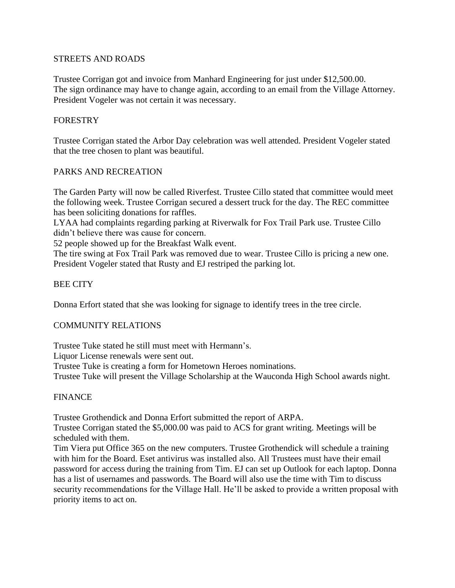# STREETS AND ROADS

Trustee Corrigan got and invoice from Manhard Engineering for just under \$12,500.00. The sign ordinance may have to change again, according to an email from the Village Attorney. President Vogeler was not certain it was necessary.

# **FORESTRY**

Trustee Corrigan stated the Arbor Day celebration was well attended. President Vogeler stated that the tree chosen to plant was beautiful.

# PARKS AND RECREATION

The Garden Party will now be called Riverfest. Trustee Cillo stated that committee would meet the following week. Trustee Corrigan secured a dessert truck for the day. The REC committee has been soliciting donations for raffles.

LYAA had complaints regarding parking at Riverwalk for Fox Trail Park use. Trustee Cillo didn't believe there was cause for concern.

52 people showed up for the Breakfast Walk event.

The tire swing at Fox Trail Park was removed due to wear. Trustee Cillo is pricing a new one. President Vogeler stated that Rusty and EJ restriped the parking lot.

# BEE CITY

Donna Erfort stated that she was looking for signage to identify trees in the tree circle.

### COMMUNITY RELATIONS

Trustee Tuke stated he still must meet with Hermann's.

Liquor License renewals were sent out.

Trustee Tuke is creating a form for Hometown Heroes nominations.

Trustee Tuke will present the Village Scholarship at the Wauconda High School awards night.

### FINANCE

Trustee Grothendick and Donna Erfort submitted the report of ARPA.

Trustee Corrigan stated the \$5,000.00 was paid to ACS for grant writing. Meetings will be scheduled with them.

Tim Viera put Office 365 on the new computers. Trustee Grothendick will schedule a training with him for the Board. Eset antivirus was installed also. All Trustees must have their email password for access during the training from Tim. EJ can set up Outlook for each laptop. Donna has a list of usernames and passwords. The Board will also use the time with Tim to discuss security recommendations for the Village Hall. He'll be asked to provide a written proposal with priority items to act on.